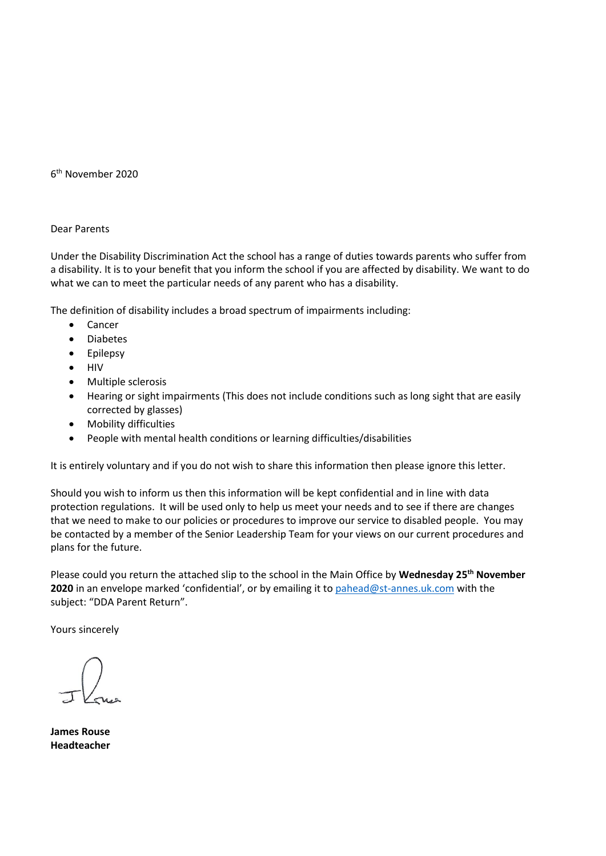6 th November 2020

## Dear Parents

Under the Disability Discrimination Act the school has a range of duties towards parents who suffer from a disability. It is to your benefit that you inform the school if you are affected by disability. We want to do what we can to meet the particular needs of any parent who has a disability.

The definition of disability includes a broad spectrum of impairments including:

- Cancer
- Diabetes
- **Epilepsy**
- HIV
- Multiple sclerosis
- Hearing or sight impairments (This does not include conditions such as long sight that are easily corrected by glasses)
- Mobility difficulties
- People with mental health conditions or learning difficulties/disabilities

It is entirely voluntary and if you do not wish to share this information then please ignore this letter.

Should you wish to inform us then this information will be kept confidential and in line with data protection regulations. It will be used only to help us meet your needs and to see if there are changes that we need to make to our policies or procedures to improve our service to disabled people. You may be contacted by a member of the Senior Leadership Team for your views on our current procedures and plans for the future.

Please could you return the attached slip to the school in the Main Office by **Wednesday 25 th November 2020** in an envelope marked 'confidential', or by emailing it t[o pahead@st-annes.uk.com](mailto:pahead@st-annes.uk.com) with the subject: "DDA Parent Return".

Yours sincerely

**James Rouse Headteacher**